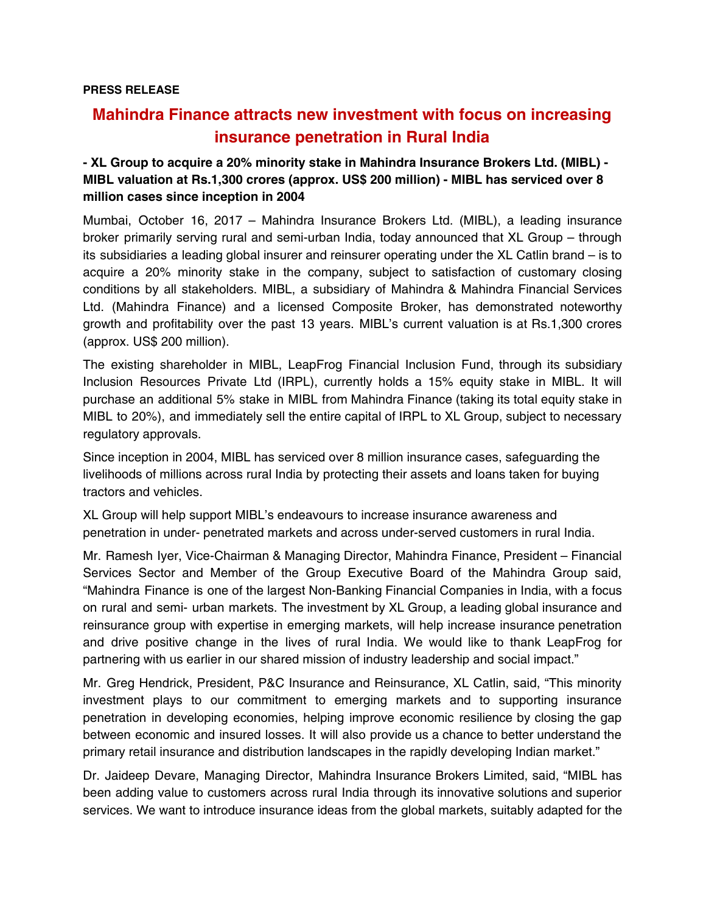## **Mahindra Finance attracts new investment with focus on increasing insurance penetration in Rural India**

## **- XL Group to acquire a 20% minority stake in Mahindra Insurance Brokers Ltd. (MIBL) - MIBL valuation at Rs.1,300 crores (approx. US\$ 200 million) - MIBL has serviced over 8 million cases since inception in 2004**

Mumbai, October 16, 2017 – Mahindra Insurance Brokers Ltd. (MIBL), a leading insurance broker primarily serving rural and semi-urban India, today announced that XL Group – through its subsidiaries a leading global insurer and reinsurer operating under the XL Catlin brand – is to acquire a 20% minority stake in the company, subject to satisfaction of customary closing conditions by all stakeholders. MIBL, a subsidiary of Mahindra & Mahindra Financial Services Ltd. (Mahindra Finance) and a licensed Composite Broker, has demonstrated noteworthy growth and profitability over the past 13 years. MIBL's current valuation is at Rs.1,300 crores (approx. US\$ 200 million).

The existing shareholder in MIBL, LeapFrog Financial Inclusion Fund, through its subsidiary Inclusion Resources Private Ltd (IRPL), currently holds a 15% equity stake in MIBL. It will purchase an additional 5% stake in MIBL from Mahindra Finance (taking its total equity stake in MIBL to 20%), and immediately sell the entire capital of IRPL to XL Group, subject to necessary regulatory approvals.

Since inception in 2004, MIBL has serviced over 8 million insurance cases, safeguarding the livelihoods of millions across rural India by protecting their assets and loans taken for buying tractors and vehicles.

XL Group will help support MIBL's endeavours to increase insurance awareness and penetration in under- penetrated markets and across under-served customers in rural India.

Mr. Ramesh Iyer, Vice-Chairman & Managing Director, Mahindra Finance, President – Financial Services Sector and Member of the Group Executive Board of the Mahindra Group said, "Mahindra Finance is one of the largest Non-Banking Financial Companies in India, with a focus on rural and semi- urban markets. The investment by XL Group, a leading global insurance and reinsurance group with expertise in emerging markets, will help increase insurance penetration and drive positive change in the lives of rural India. We would like to thank LeapFrog for partnering with us earlier in our shared mission of industry leadership and social impact."

Mr. Greg Hendrick, President, P&C Insurance and Reinsurance, XL Catlin, said, "This minority investment plays to our commitment to emerging markets and to supporting insurance penetration in developing economies, helping improve economic resilience by closing the gap between economic and insured losses. It will also provide us a chance to better understand the primary retail insurance and distribution landscapes in the rapidly developing Indian market."

Dr. Jaideep Devare, Managing Director, Mahindra Insurance Brokers Limited, said, "MIBL has been adding value to customers across rural India through its innovative solutions and superior services. We want to introduce insurance ideas from the global markets, suitably adapted for the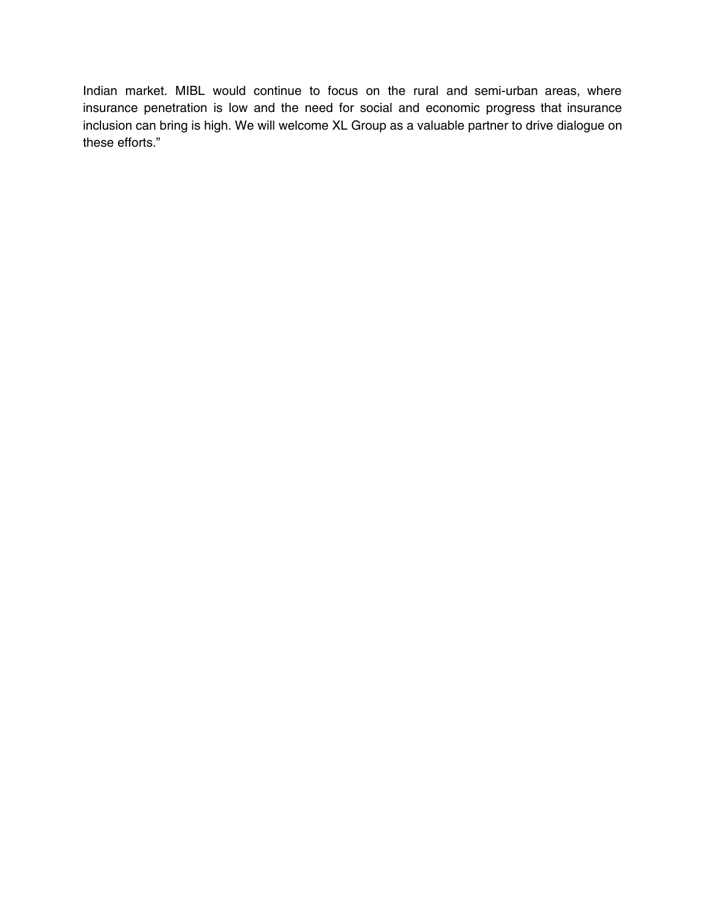Indian market. MIBL would continue to focus on the rural and semi-urban areas, where insurance penetration is low and the need for social and economic progress that insurance inclusion can bring is high. We will welcome XL Group as a valuable partner to drive dialogue on these efforts."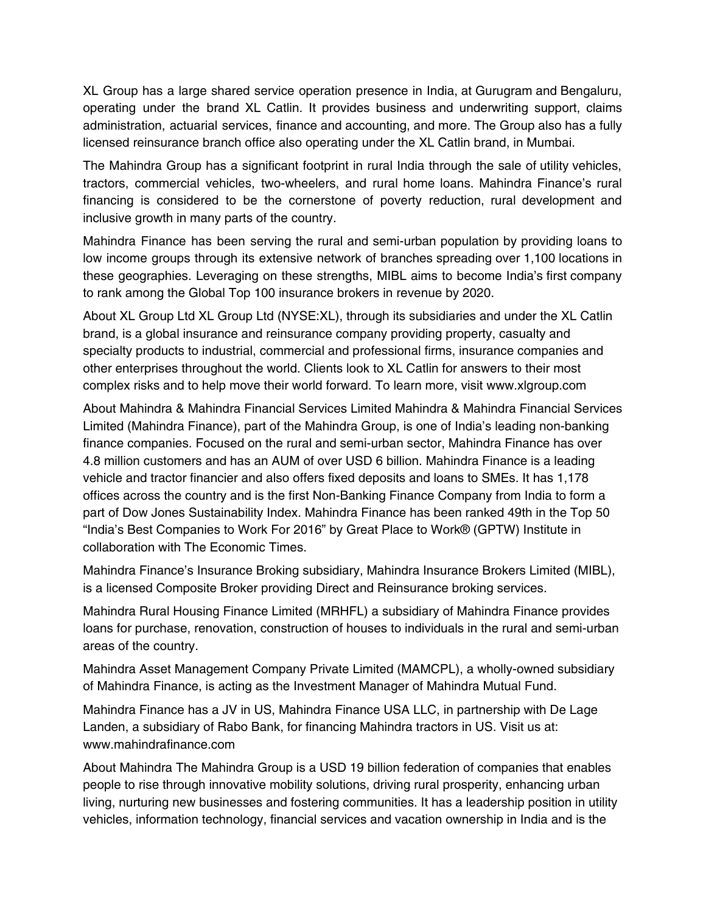XL Group has a large shared service operation presence in India, at Gurugram and Bengaluru, operating under the brand XL Catlin. It provides business and underwriting support, claims administration, actuarial services, finance and accounting, and more. The Group also has a fully licensed reinsurance branch office also operating under the XL Catlin brand, in Mumbai.

The Mahindra Group has a significant footprint in rural India through the sale of utility vehicles, tractors, commercial vehicles, two-wheelers, and rural home loans. Mahindra Finance's rural financing is considered to be the cornerstone of poverty reduction, rural development and inclusive growth in many parts of the country.

Mahindra Finance has been serving the rural and semi-urban population by providing loans to low income groups through its extensive network of branches spreading over 1,100 locations in these geographies. Leveraging on these strengths, MIBL aims to become India's first company to rank among the Global Top 100 insurance brokers in revenue by 2020.

About XL Group Ltd XL Group Ltd (NYSE:XL), through its subsidiaries and under the XL Catlin brand, is a global insurance and reinsurance company providing property, casualty and specialty products to industrial, commercial and professional firms, insurance companies and other enterprises throughout the world. Clients look to XL Catlin for answers to their most complex risks and to help move their world forward. To learn more, visit www.xlgroup.com

About Mahindra & Mahindra Financial Services Limited Mahindra & Mahindra Financial Services Limited (Mahindra Finance), part of the Mahindra Group, is one of India's leading non-banking finance companies. Focused on the rural and semi-urban sector, Mahindra Finance has over 4.8 million customers and has an AUM of over USD 6 billion. Mahindra Finance is a leading vehicle and tractor financier and also offers fixed deposits and loans to SMEs. It has 1,178 offices across the country and is the first Non-Banking Finance Company from India to form a part of Dow Jones Sustainability Index. Mahindra Finance has been ranked 49th in the Top 50 "India's Best Companies to Work For 2016" by Great Place to Work® (GPTW) Institute in collaboration with The Economic Times.

Mahindra Finance's Insurance Broking subsidiary, Mahindra Insurance Brokers Limited (MIBL), is a licensed Composite Broker providing Direct and Reinsurance broking services.

Mahindra Rural Housing Finance Limited (MRHFL) a subsidiary of Mahindra Finance provides loans for purchase, renovation, construction of houses to individuals in the rural and semi-urban areas of the country.

Mahindra Asset Management Company Private Limited (MAMCPL), a wholly-owned subsidiary of Mahindra Finance, is acting as the Investment Manager of Mahindra Mutual Fund.

Mahindra Finance has a JV in US, Mahindra Finance USA LLC, in partnership with De Lage Landen, a subsidiary of Rabo Bank, for financing Mahindra tractors in US. Visit us at: www.mahindrafinance.com

About Mahindra The Mahindra Group is a USD 19 billion federation of companies that enables people to rise through innovative mobility solutions, driving rural prosperity, enhancing urban living, nurturing new businesses and fostering communities. It has a leadership position in utility vehicles, information technology, financial services and vacation ownership in India and is the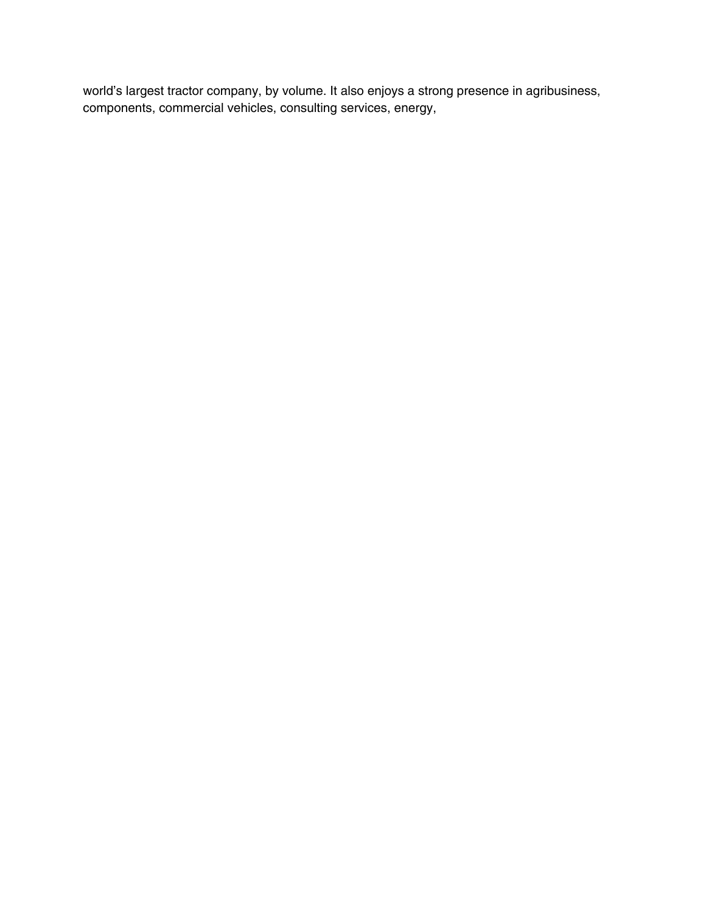world's largest tractor company, by volume. It also enjoys a strong presence in agribusiness, components, commercial vehicles, consulting services, energy,